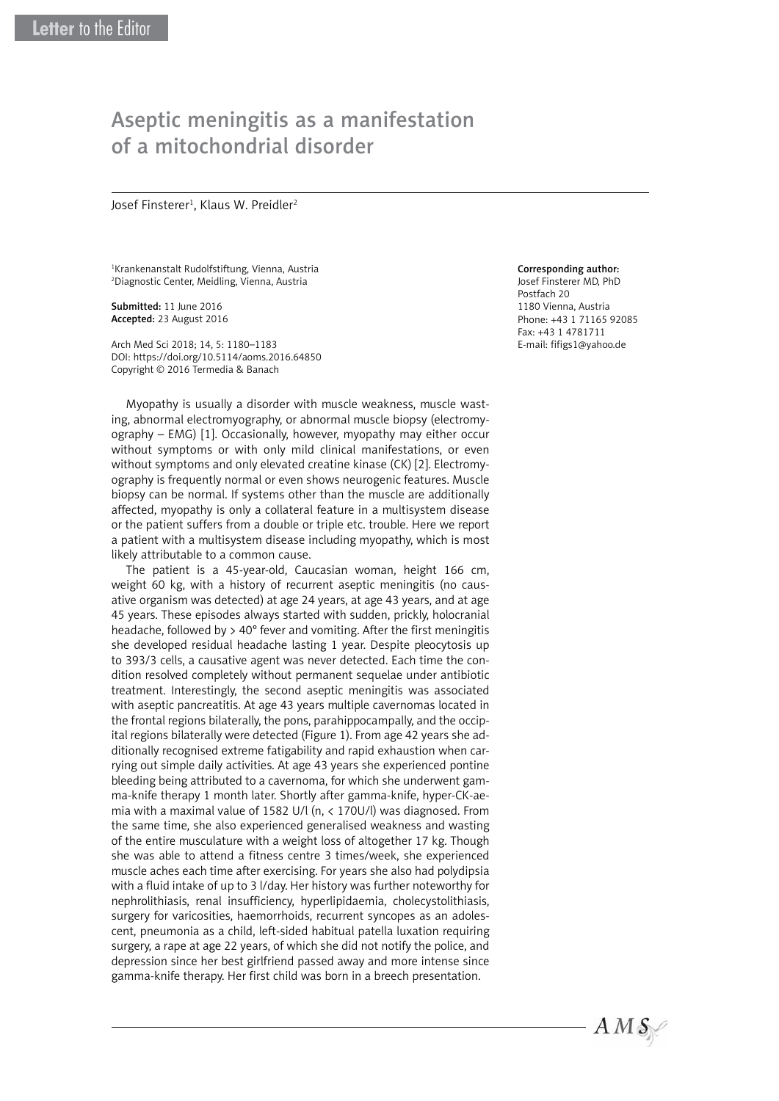## Aseptic meningitis as a manifestation of a mitochondrial disorder

Josef Finsterer<sup>1</sup>, Klaus W. Preidler<sup>2</sup>

1 Krankenanstalt Rudolfstiftung, Vienna, Austria 2 Diagnostic Center, Meidling, Vienna, Austria

Submitted: 11 June 2016 Accepted: 23 August 2016

Arch Med Sci 2018; 14, 5: 1180–1183 DOI: https://doi.org/10.5114/aoms.2016.64850 Copyright © 2016 Termedia & Banach

Myopathy is usually a disorder with muscle weakness, muscle wasting, abnormal electromyography, or abnormal muscle biopsy (electromyography – EMG) [1]. Occasionally, however, myopathy may either occur without symptoms or with only mild clinical manifestations, or even without symptoms and only elevated creatine kinase (CK) [2]. Electromyography is frequently normal or even shows neurogenic features. Muscle biopsy can be normal. If systems other than the muscle are additionally affected, myopathy is only a collateral feature in a multisystem disease or the patient suffers from a double or triple etc. trouble. Here we report a patient with a multisystem disease including myopathy, which is most likely attributable to a common cause.

The patient is a 45-year-old, Caucasian woman, height 166 cm, weight 60 kg, with a history of recurrent aseptic meningitis (no causative organism was detected) at age 24 years, at age 43 years, and at age 45 years. These episodes always started with sudden, prickly, holocranial headache, followed by > 40° fever and vomiting. After the first meningitis she developed residual headache lasting 1 year. Despite pleocytosis up to 393/3 cells, a causative agent was never detected. Each time the condition resolved completely without permanent sequelae under antibiotic treatment. Interestingly, the second aseptic meningitis was associated with aseptic pancreatitis. At age 43 years multiple cavernomas located in the frontal regions bilaterally, the pons, parahippocampally, and the occipital regions bilaterally were detected (Figure 1). From age 42 years she additionally recognised extreme fatigability and rapid exhaustion when carrying out simple daily activities. At age 43 years she experienced pontine bleeding being attributed to a cavernoma, for which she underwent gamma-knife therapy 1 month later. Shortly after gamma-knife, hyper-CK-aemia with a maximal value of 1582 U/l (n, < 170U/l) was diagnosed. From the same time, she also experienced generalised weakness and wasting of the entire musculature with a weight loss of altogether 17 kg. Though she was able to attend a fitness centre 3 times/week, she experienced muscle aches each time after exercising. For years she also had polydipsia with a fluid intake of up to 3 l/day. Her history was further noteworthy for nephrolithiasis, renal insufficiency, hyperlipidaemia, cholecystolithiasis, surgery for varicosities, haemorrhoids, recurrent syncopes as an adolescent, pneumonia as a child, left-sided habitual patella luxation requiring surgery, a rape at age 22 years, of which she did not notify the police, and depression since her best girlfriend passed away and more intense since gamma-knife therapy. Her first child was born in a breech presentation.

## Corresponding author:

Josef Finsterer MD, PhD Postfach 20 1180 Vienna, Austria Phone: +43 1 71165 92085 Fax: +43 1 4781711 E-mail: [fifigs1@yahoo.de](mailto:fifigs1@yahoo.de)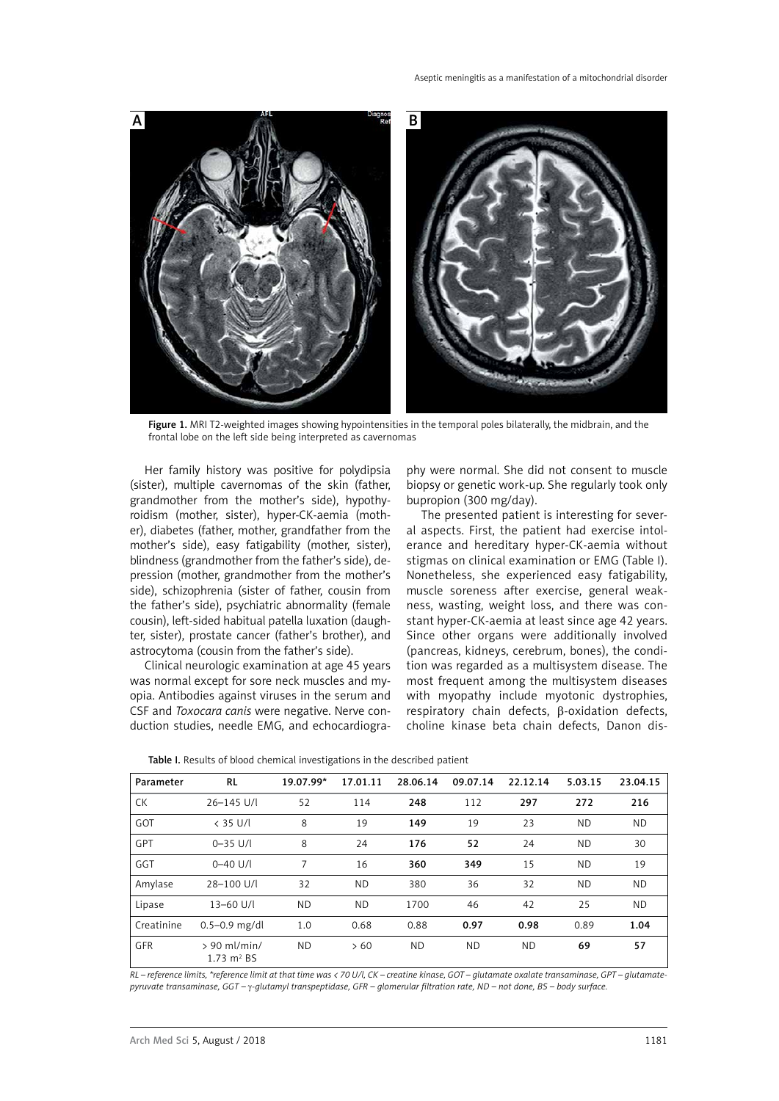

Figure 1. MRI T2-weighted images showing hypointensities in the temporal poles bilaterally, the midbrain, and the frontal lobe on the left side being interpreted as cavernomas

Her family history was positive for polydipsia (sister), multiple cavernomas of the skin (father, grandmother from the mother's side), hypothyroidism (mother, sister), hyper-CK-aemia (mother), diabetes (father, mother, grandfather from the mother's side), easy fatigability (mother, sister), blindness (grandmother from the father's side), depression (mother, grandmother from the mother's side), schizophrenia (sister of father, cousin from the father's side), psychiatric abnormality (female cousin), left-sided habitual patella luxation (daughter, sister), prostate cancer (father's brother), and astrocytoma (cousin from the father's side).

Clinical neurologic examination at age 45 years was normal except for sore neck muscles and myopia. Antibodies against viruses in the serum and CSF and *Toxocara canis* were negative. Nerve conduction studies, needle EMG, and echocardiogra-

phy were normal. She did not consent to muscle biopsy or genetic work-up. She regularly took only bupropion (300 mg/day).

The presented patient is interesting for several aspects. First, the patient had exercise intolerance and hereditary hyper-CK-aemia without stigmas on clinical examination or EMG (Table I). Nonetheless, she experienced easy fatigability, muscle soreness after exercise, general weakness, wasting, weight loss, and there was constant hyper-CK-aemia at least since age 42 years. Since other organs were additionally involved (pancreas, kidneys, cerebrum, bones), the condition was regarded as a multisystem disease. The most frequent among the multisystem diseases with myopathy include myotonic dystrophies, respiratory chain defects, β-oxidation defects, choline kinase beta chain defects, Danon dis-

| Table I. Results of blood chemical investigations in the described patient |  |
|----------------------------------------------------------------------------|--|
|----------------------------------------------------------------------------|--|

| Parameter  | <b>RL</b>                                       | 19.07.99* | 17.01.11  | 28.06.14 | 09.07.14  | 22.12.14  | 5.03.15   | 23.04.15  |
|------------|-------------------------------------------------|-----------|-----------|----------|-----------|-----------|-----------|-----------|
| <b>CK</b>  | 26-145 U/l                                      | 52        | 114       | 248      | 112       | 297       | 272       | 216       |
| <b>GOT</b> | $<$ 35 U/l                                      | 8         | 19        | 149      | 19        | 23        | <b>ND</b> | <b>ND</b> |
| GPT        | $0 - 35$ U/I                                    | 8         | 24        | 176      | 52        | 24        | <b>ND</b> | 30        |
| GGT        | $0 - 40$ U/I                                    | 7         | 16        | 360      | 349       | 15        | <b>ND</b> | 19        |
| Amylase    | 28-100 U/L                                      | 32        | <b>ND</b> | 380      | 36        | 32        | <b>ND</b> | <b>ND</b> |
| Lipase     | $13 - 60$ U/I                                   | <b>ND</b> | <b>ND</b> | 1700     | 46        | 42        | 25        | <b>ND</b> |
| Creatinine | $0.5 - 0.9$ mg/dl                               | 1.0       | 0.68      | 0.88     | 0.97      | 0.98      | 0.89      | 1.04      |
| <b>GFR</b> | $> 90$ ml/min/<br>$1.73 \text{ m}^2 \text{ BS}$ | ND.       | >60       | ND.      | <b>ND</b> | <b>ND</b> | 69        | 57        |

*RL – reference limits, \*reference limit at that time was < 70 U/l, CK – creatine kinase, GOT – glutamate oxalate transaminase, GPT – glutamatepyruvate transaminase, GGT –* g*-glutamyl transpeptidase, GFR – glomerular filtration rate, ND – not done, BS – body surface.*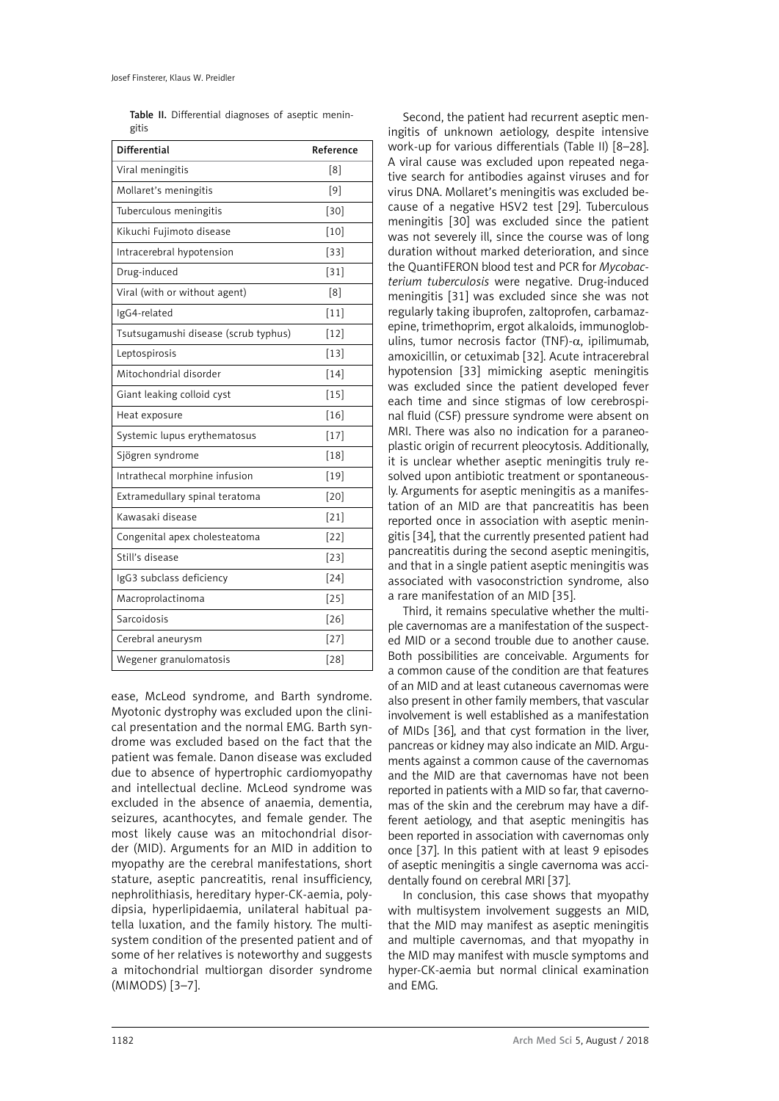Table II. Differential diagnoses of aseptic meningitis

| <b>Differential</b>                  | Reference |
|--------------------------------------|-----------|
| Viral meningitis                     | [8]       |
| Mollaret's meningitis                | [9]       |
| Tuberculous meningitis               | $[30]$    |
| Kikuchi Fujimoto disease             | $[10]$    |
| Intracerebral hypotension            | $[33]$    |
| Drug-induced                         | $[31]$    |
| Viral (with or without agent)        | [8]       |
| IgG4-related                         | $[11]$    |
| Tsutsugamushi disease (scrub typhus) | $[12]$    |
| Leptospirosis                        | $[13]$    |
| Mitochondrial disorder               | $[14]$    |
| Giant leaking colloid cyst           | $[15]$    |
| Heat exposure                        | $[16]$    |
| Systemic lupus erythematosus         | $[17]$    |
| Sjögren syndrome                     | $[18]$    |
| Intrathecal morphine infusion        | $[19]$    |
| Extramedullary spinal teratoma       | $[20]$    |
| Kawasaki disease                     | $[21]$    |
| Congenital apex cholesteatoma        | $[22]$    |
| Still's disease                      | $[23]$    |
| IgG3 subclass deficiency             | $[24]$    |
| Macroprolactinoma                    | $[25]$    |
| Sarcoidosis                          | $[26]$    |
| Cerebral aneurysm                    | $[27]$    |
| Wegener granulomatosis               | $[28]$    |

ease, McLeod syndrome, and Barth syndrome. Myotonic dystrophy was excluded upon the clinical presentation and the normal EMG. Barth syndrome was excluded based on the fact that the patient was female. Danon disease was excluded due to absence of hypertrophic cardiomyopathy and intellectual decline. McLeod syndrome was excluded in the absence of anaemia, dementia, seizures, acanthocytes, and female gender. The most likely cause was an mitochondrial disorder (MID). Arguments for an MID in addition to myopathy are the cerebral manifestations, short stature, aseptic pancreatitis, renal insufficiency, nephrolithiasis, hereditary hyper-CK-aemia, polydipsia, hyperlipidaemia, unilateral habitual patella luxation, and the family history. The multisystem condition of the presented patient and of some of her relatives is noteworthy and suggests a mitochondrial multiorgan disorder syndrome (MIMODS) [3–7].

Second, the patient had recurrent aseptic meningitis of unknown aetiology, despite intensive work-up for various differentials (Table II) [8–28]. A viral cause was excluded upon repeated negative search for antibodies against viruses and for virus DNA. Mollaret's meningitis was excluded because of a negative HSV2 test [29]. Tuberculous meningitis [30] was excluded since the patient was not severely ill, since the course was of long duration without marked deterioration, and since the QuantiFERON blood test and PCR for *Mycobacterium tuberculosis* were negative. Drug-induced meningitis [31] was excluded since she was not regularly taking ibuprofen, zaltoprofen, carbamazepine, trimethoprim, ergot alkaloids, immunoglobulins, tumor necrosis factor (TNF)- $\alpha$ , ipilimumab, amoxicillin, or cetuximab [32]. Acute intracerebral hypotension [33] mimicking aseptic meningitis was excluded since the patient developed fever each time and since stigmas of low cerebrospinal fluid (CSF) pressure syndrome were absent on MRI. There was also no indication for a paraneoplastic origin of recurrent pleocytosis. Additionally, it is unclear whether aseptic meningitis truly resolved upon antibiotic treatment or spontaneously. Arguments for aseptic meningitis as a manifestation of an MID are that pancreatitis has been reported once in association with aseptic meningitis [34], that the currently presented patient had pancreatitis during the second aseptic meningitis, and that in a single patient aseptic meningitis was associated with vasoconstriction syndrome, also a rare manifestation of an MID [35].

Third, it remains speculative whether the multiple cavernomas are a manifestation of the suspected MID or a second trouble due to another cause. Both possibilities are conceivable. Arguments for a common cause of the condition are that features of an MID and at least cutaneous cavernomas were also present in other family members, that vascular involvement is well established as a manifestation of MIDs [36], and that cyst formation in the liver, pancreas or kidney may also indicate an MID. Arguments against a common cause of the cavernomas and the MID are that cavernomas have not been reported in patients with a MID so far, that cavernomas of the skin and the cerebrum may have a different aetiology, and that aseptic meningitis has been reported in association with cavernomas only once [37]. In this patient with at least 9 episodes of aseptic meningitis a single cavernoma was accidentally found on cerebral MRI [37].

In conclusion, this case shows that myopathy with multisystem involvement suggests an MID. that the MID may manifest as aseptic meningitis and multiple cavernomas, and that myopathy in the MID may manifest with muscle symptoms and hyper-CK-aemia but normal clinical examination and EMG.